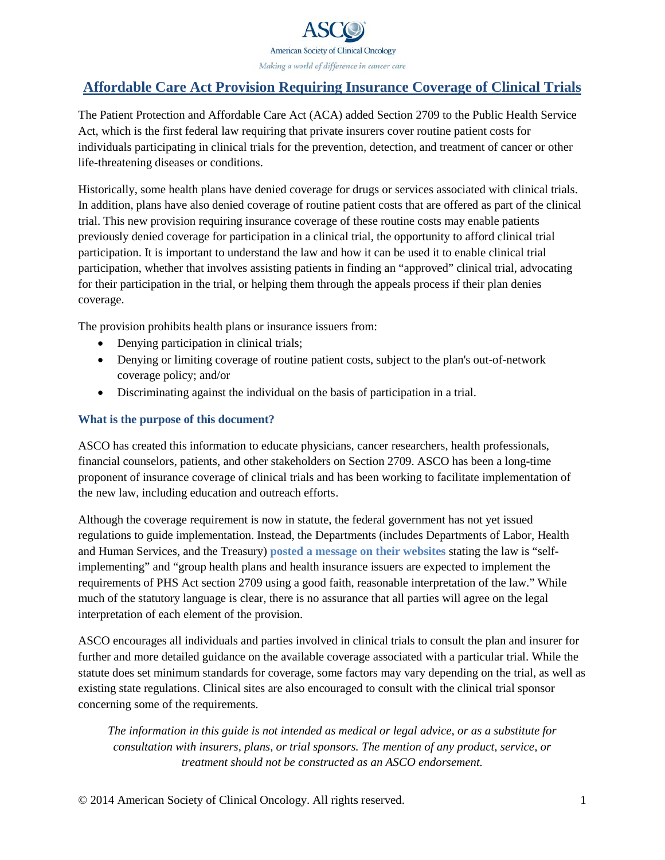

# <span id="page-0-0"></span>**Affordable Care Act Provision Requiring Insurance Coverage of Clinical Trials**

The Patient Protection and Affordable Care Act (ACA) added Section 2709 to the Public Health Service Act, which is the first federal law requiring that private insurers cover routine patient costs for individuals participating in clinical trials for the prevention, detection, and treatment of cancer or other life-threatening diseases or conditions.

Historically, some health plans have denied coverage for drugs or services associated with clinical trials. In addition, plans have also denied coverage of routine patient costs that are offered as part of the clinical trial. This new provision requiring insurance coverage of these routine costs may enable patients previously denied coverage for participation in a clinical trial, the opportunity to afford clinical trial participation. It is important to understand the law and how it can be used it to enable clinical trial participation, whether that involves assisting patients in finding an "approved" clinical trial, advocating for their participation in the trial, or helping them through the appeals process if their plan denies coverage.

The provision prohibits health plans or insurance issuers from:

- Denying participation in clinical trials;
- Denying or limiting coverage of routine patient costs, subject to the plan's out-of-network coverage policy; and/or
- Discriminating against the individual on the basis of participation in a trial.

### **What is the purpose of this document?**

ASCO has created this information to educate physicians, cancer researchers, health professionals, financial counselors, patients, and other stakeholders on Section 2709. ASCO has been a long-time proponent of insurance coverage of clinical trials and has been working to facilitate implementation of the new law, including education and outreach efforts.

Although the coverage requirement is now in statute, the federal government has not yet issued regulations to guide implementation. Instead, the Departments (includes Departments of Labor, Health and Human Services, and the Treasury) **[posted a message on their websites](http://www.cms.gov/CCIIO/Resources/Fact-Sheets-and-FAQs/aca_implementation_faqs15.html)** stating the law is "selfimplementing" and "group health plans and health insurance issuers are expected to implement the requirements of PHS Act section 2709 using a good faith, reasonable interpretation of the law." While much of the statutory language is clear, there is no assurance that all parties will agree on the legal interpretation of each element of the provision.

ASCO encourages all individuals and parties involved in clinical trials to consult the plan and insurer for further and more detailed guidance on the available coverage associated with a particular trial. While the statute does set minimum standards for coverage, some factors may vary depending on the trial, as well as existing state regulations. Clinical sites are also encouraged to consult with the clinical trial sponsor concerning some of the requirements.

*The information in this guide is not intended as medical or legal advice, or as a substitute for consultation with insurers, plans, or trial sponsors. The mention of any product, service, or treatment should not be constructed as an ASCO endorsement.*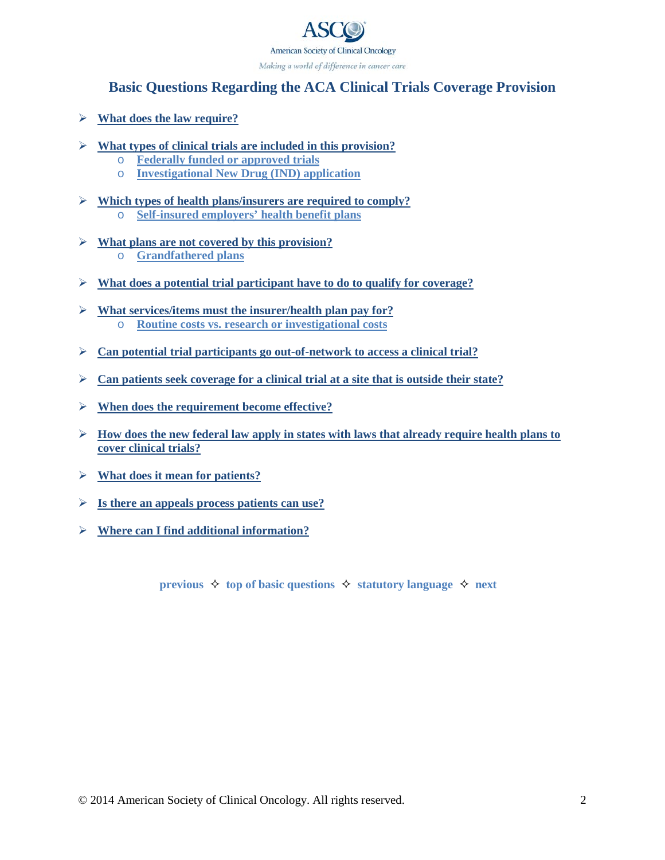

# <span id="page-1-0"></span>**Basic Questions Regarding the ACA Clinical Trials Coverage Provision**

- **[What does the law require?](#page-2-0)**
- **[What types of clinical trials are included in this provision?](#page-3-0)**
	- o **[Federally funded or approved trials](#page-3-0)**
	- o **[Investigational New Drug \(IND\) application](#page-4-0)**
- **[Which types of health plans/insurers are required to comply?](#page-5-0)** o **[Self-insured employers' health benefit plans](#page-5-0)**
- **[What plans are not covered by this provision?](#page-6-0)**
	- o **[Grandfathered plans](#page-6-0)**
- **[What does a potential trial participant have to do to qualify for coverage?](#page-7-0)**
- **[What services/items must the insurer/health plan pay for?](#page-8-0)** o **[Routine costs vs. research or investigational costs](#page-8-0)**
- **[Can potential trial participants go out-of-network to access a clinical trial?](#page-9-0)**
- **[Can patients seek coverage for a clinical trial at a site that is outside their state?](#page-9-1)**
- **[When does the requirement become effective?](#page-9-1)**
- $\triangleright$  [How does the new federal law apply in states with laws that already require health plans to](#page-9-1) **cover clinical trials?**
- **[What does it mean for patients?](#page-10-0)**
- **[Is there an appeals process patients can use?](#page-10-0)**
- **[Where can I find additional information?](#page-11-0)**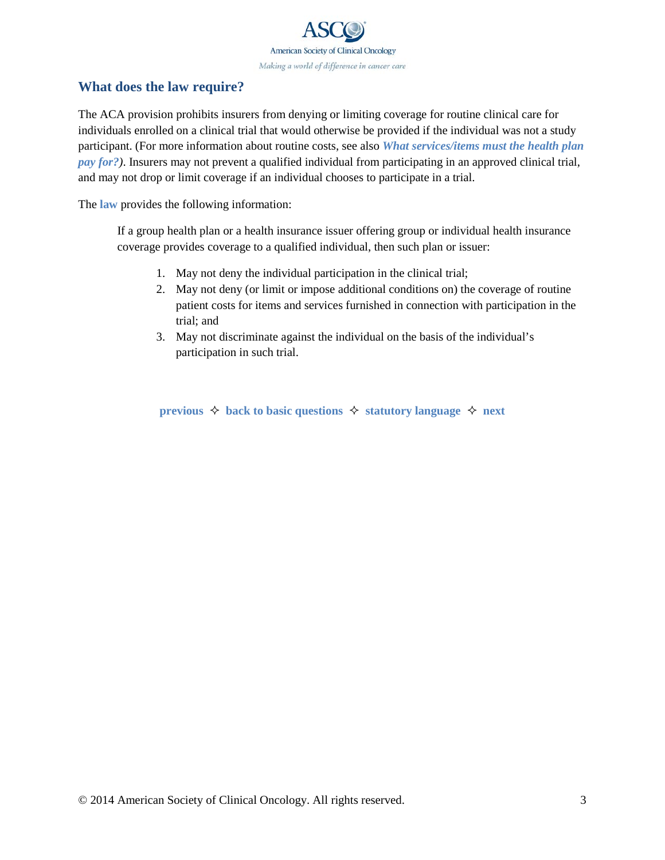

### <span id="page-2-0"></span>**What does the law require?**

The ACA provision prohibits insurers from denying or limiting coverage for routine clinical care for individuals enrolled on a clinical trial that would otherwise be provided if the individual was not a study participant. (For more information about routine costs, see also *[What services/items must the health plan](#page-8-0)  [pay for?](#page-8-0))*. Insurers may not prevent a qualified individual from participating in an approved clinical trial, and may not drop or limit coverage if an individual chooses to participate in a trial.

The **[law](http://www.asco.org/sites/default/files/affordable_care_act_clinical_trials_provision_3.pdf)** provides the following information:

If a group health plan or a health insurance issuer offering group or individual health insurance coverage provides coverage to a qualified individual, then such plan or issuer:

- 1. May not deny the individual participation in the clinical trial;
- 2. May not deny (or limit or impose additional conditions on) the coverage of routine patient costs for items and services furnished in connection with participation in the trial; and
- 3. May not discriminate against the individual on the basis of the individual's participation in such trial.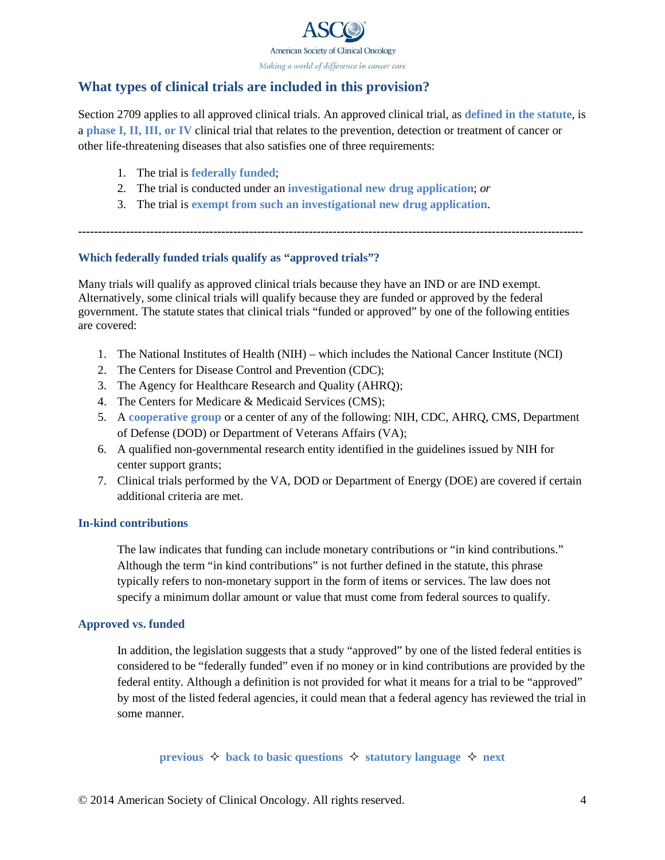

## <span id="page-3-0"></span>**What types of clinical trials are included in this provision?**

Section 2709 applies to all approved clinical trials. An approved clinical trial, as **[defined in the statute](http://www.asco.org/sites/default/files/affordable_care_act_clinical_trials_provision_3.pdf)**, is a **[phase I, II, III, or IV](http://www.cancer.net/all-about-cancer/clinical-trials/phases-clinical-trials)** clinical trial that relates to the prevention, detection or treatment of cancer or other life-threatening diseases that also satisfies one of three requirements:

- 1. The trial is **federally funded**;
- 2. The trial is conducted under an **[investigational new drug application](#page-4-0)**; *or*
- 3. The trial is **[exempt from such an investigational new drug application](#page-4-0)**.

**-------------------------------------------------------------------------------------------------------------------------------**

### **Which federally funded trials qualify as "approved trials"?**

Many trials will qualify as approved clinical trials because they have an IND or are IND exempt. Alternatively, some clinical trials will qualify because they are funded or approved by the federal government. The statute states that clinical trials "funded or approved" by one of the following entities are covered:

- 1. The National Institutes of Health (NIH) which includes the National Cancer Institute (NCI)
- 2. The Centers for Disease Control and Prevention (CDC);
- 3. The Agency for Healthcare Research and Quality (AHRQ);
- 4. The Centers for Medicare & Medicaid Services (CMS);
- 5. A **[cooperative group](#page-4-0)** or a center of any of the following: NIH, CDC, AHRQ, CMS, Department of Defense (DOD) or Department of Veterans Affairs (VA);
- 6. A qualified non-governmental research entity identified in the guidelines issued by NIH for center support grants;
- 7. Clinical trials performed by the VA, DOD or Department of Energy (DOE) are covered if certain additional criteria are met.

#### **In-kind contributions**

The law indicates that funding can include monetary contributions or "in kind contributions." Although the term "in kind contributions" is not further defined in the statute, this phrase typically refers to non-monetary support in the form of items or services. The law does not specify a minimum dollar amount or value that must come from federal sources to qualify.

#### **Approved vs. funded**

In addition, the legislation suggests that a study "approved" by one of the listed federal entities is considered to be "federally funded" even if no money or in kind contributions are provided by the federal entity. Although a definition is not provided for what it means for a trial to be "approved" by most of the listed federal agencies, it could mean that a federal agency has reviewed the trial in some manner.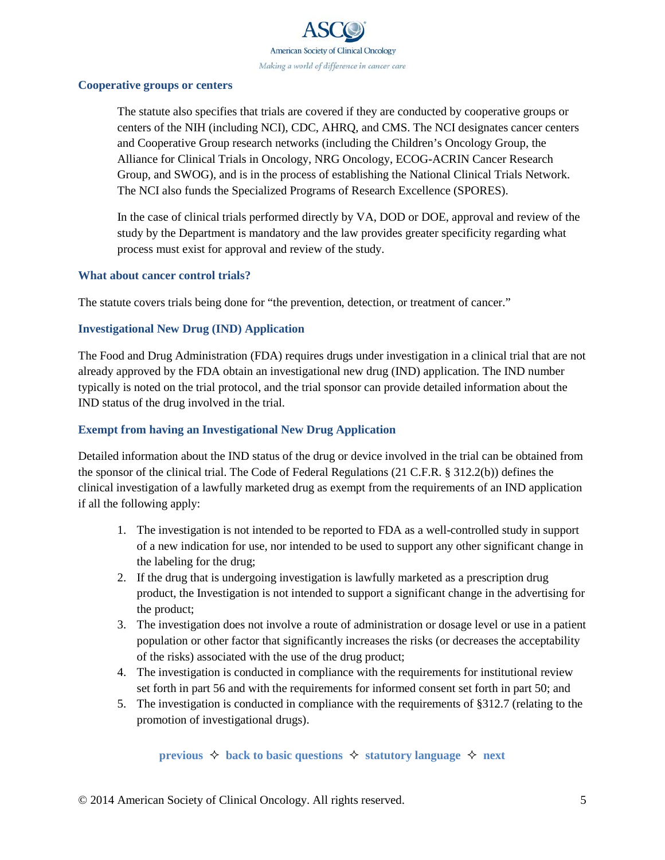

#### <span id="page-4-1"></span><span id="page-4-0"></span>**Cooperative groups or centers**

The statute also specifies that trials are covered if they are conducted by cooperative groups or centers of the NIH (including NCI), CDC, AHRQ, and CMS. The NCI designates cancer centers and Cooperative Group research networks (including the Children's Oncology Group, the Alliance for Clinical Trials in Oncology, NRG Oncology, ECOG-ACRIN Cancer Research Group, and SWOG), and is in the process of establishing the National Clinical Trials Network. The NCI also funds the Specialized Programs of Research Excellence (SPORES).

In the case of clinical trials performed directly by VA, DOD or DOE, approval and review of the study by the Department is mandatory and the law provides greater specificity regarding what process must exist for approval and review of the study.

#### **What about cancer control trials?**

The statute covers trials being done for "the prevention, detection, or treatment of cancer."

### **Investigational New Drug (IND) Application**

The Food and Drug Administration (FDA) requires drugs under investigation in a clinical trial that are not already approved by the FDA obtain an investigational new drug (IND) application. The IND number typically is noted on the trial protocol, and the trial sponsor can provide detailed information about the IND status of the drug involved in the trial.

#### **Exempt from having an Investigational New Drug Application**

Detailed information about the IND status of the drug or device involved in the trial can be obtained from the sponsor of the clinical trial. The Code of Federal Regulations (21 C.F.R. § 312.2(b)) defines the clinical investigation of a lawfully marketed drug as exempt from the requirements of an IND application if all the following apply:

- 1. The investigation is not intended to be reported to FDA as a well-controlled study in support of a new indication for use, nor intended to be used to support any other significant change in the labeling for the drug;
- 2. If the drug that is undergoing investigation is lawfully marketed as a prescription drug product, the Investigation is not intended to support a significant change in the advertising for the product;
- 3. The investigation does not involve a route of administration or dosage level or use in a patient population or other factor that significantly increases the risks (or decreases the acceptability of the risks) associated with the use of the drug product;
- 4. The investigation is conducted in compliance with the requirements for institutional review set forth in part 56 and with the requirements for informed consent set forth in part 50; and
- 5. The investigation is conducted in compliance with the requirements of §312.7 (relating to the promotion of investigational drugs).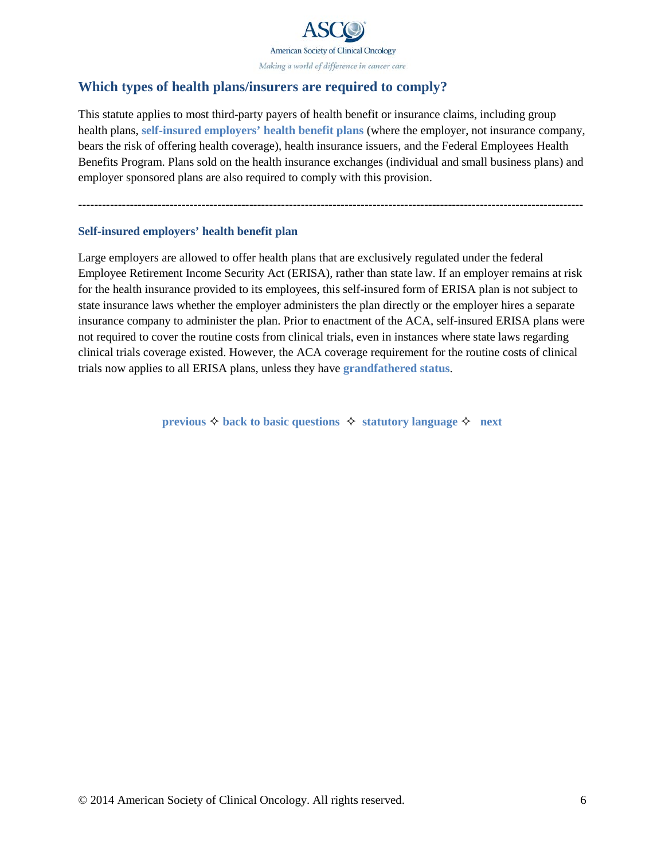

## <span id="page-5-1"></span><span id="page-5-0"></span>**Which types of health plans/insurers are required to comply?**

This statute applies to most third-party payers of health benefit or insurance claims, including group health plans, **self-insured employers' health benefit plans** (where the employer, not insurance company, bears the risk of offering health coverage), health insurance issuers, and the Federal Employees Health Benefits Program. Plans sold on the health insurance exchanges (individual and small business plans) and employer sponsored plans are also required to comply with this provision.

**-------------------------------------------------------------------------------------------------------------------------------**

#### **Self-insured employers' health benefit plan**

Large employers are allowed to offer health plans that are exclusively regulated under the federal Employee Retirement Income Security Act (ERISA), rather than state law. If an employer remains at risk for the health insurance provided to its employees, this self-insured form of ERISA plan is not subject to state insurance laws whether the employer administers the plan directly or the employer hires a separate insurance company to administer the plan. Prior to enactment of the ACA, self-insured ERISA plans were not required to cover the routine costs from clinical trials, even in instances where state laws regarding clinical trials coverage existed. However, the ACA coverage requirement for the routine costs of clinical trials now applies to all ERISA plans, unless they have **[grandfathered status](#page-6-0)**.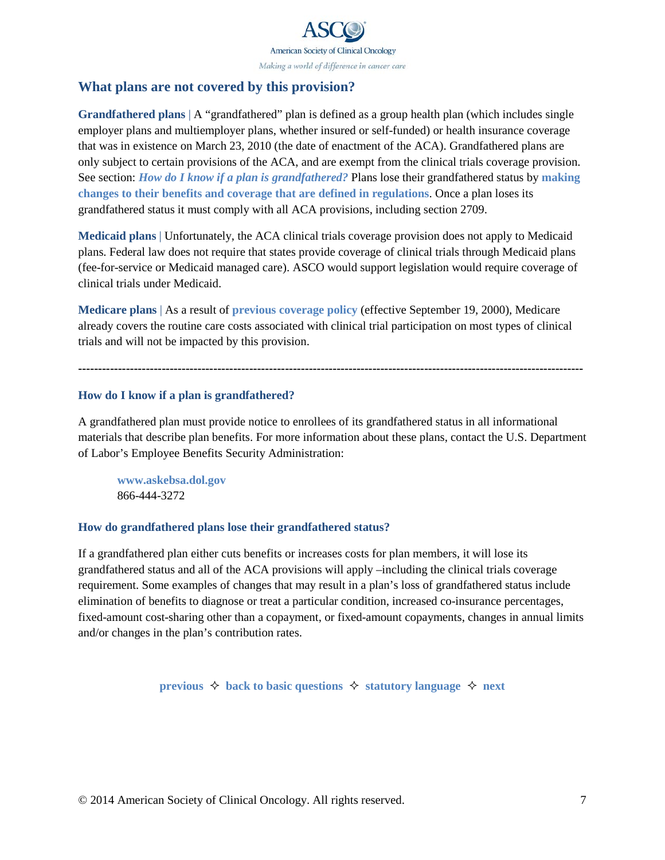

### <span id="page-6-1"></span><span id="page-6-0"></span>**What plans are not covered by this provision?**

**Grandfathered plans** | A "grandfathered" plan is defined as a group health plan (which includes single employer plans and multiemployer plans, whether insured or self-funded) or health insurance coverage that was in existence on March 23, 2010 (the date of enactment of the ACA). Grandfathered plans are only subject to certain provisions of the ACA, and are exempt from the clinical trials coverage provision. See section: *How do I know if a plan is grandfathered?* Plans lose their grandfathered status by **[making](#page-6-1)  [changes to their benefits and coverage that are defined in regulations](#page-6-1)**. Once a plan loses its grandfathered status it must comply with all ACA provisions, including section 2709.

**Medicaid plans** | Unfortunately, the ACA clinical trials coverage provision does not apply to Medicaid plans. Federal law does not require that states provide coverage of clinical trials through Medicaid plans (fee-for-service or Medicaid managed care). ASCO would support legislation would require coverage of clinical trials under Medicaid.

**Medicare plans** | As a result of **[previous coverage policy](http://www.asco.org/practice-research/insurance-coverage-clinical-trial-participants#medicare)** (effective September 19, 2000), Medicare already covers the routine care costs associated with clinical trial participation on most types of clinical trials and will not be impacted by this provision.

**-------------------------------------------------------------------------------------------------------------------------------**

#### **How do I know if a plan is grandfathered?**

A grandfathered plan must provide notice to enrollees of its grandfathered status in all informational materials that describe plan benefits. For more information about these plans, contact the U.S. Department of Labor's Employee Benefits Security Administration:

**<www.askebsa.dol.gov>** 866-444-3272

#### **How do grandfathered plans lose their grandfathered status?**

If a grandfathered plan either cuts benefits or increases costs for plan members, it will lose its grandfathered status and all of the ACA provisions will apply –including the clinical trials coverage requirement. Some examples of changes that may result in a plan's loss of grandfathered status include elimination of benefits to diagnose or treat a particular condition, increased co-insurance percentages, fixed-amount cost-sharing other than a copayment, or fixed-amount copayments, changes in annual limits and/or changes in the plan's contribution rates.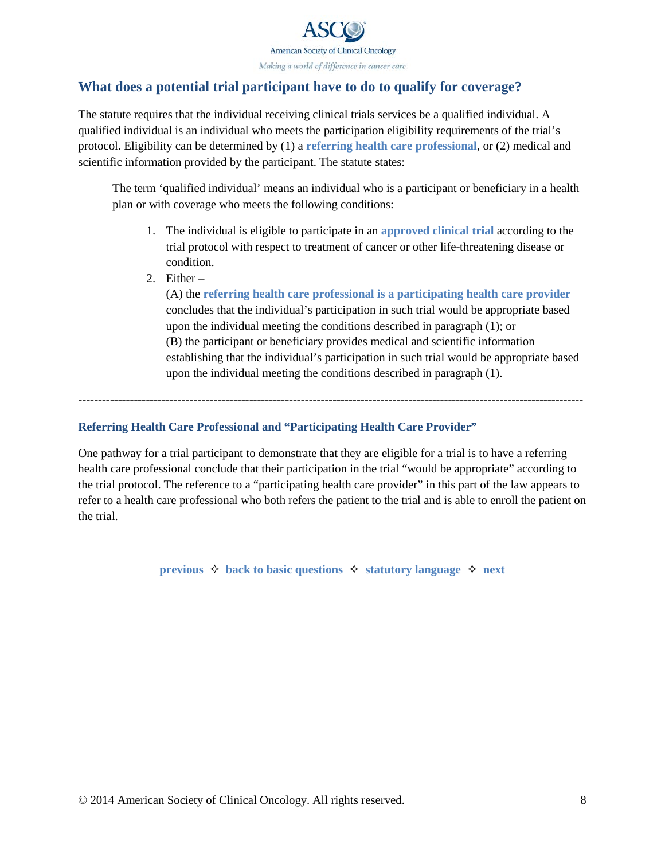

## <span id="page-7-0"></span>**What does a potential trial participant have to do to qualify for coverage?**

The statute requires that the individual receiving clinical trials services be a qualified individual. A qualified individual is an individual who meets the participation eligibility requirements of the trial's protocol. Eligibility can be determined by (1) a **referring health care professional**, or (2) medical and scientific information provided by the participant. The statute states:

The term 'qualified individual' means an individual who is a participant or beneficiary in a health plan or with coverage who meets the following conditions:

- 1. The individual is eligible to participate in an **[approved clinical trial](#page-3-0)** according to the trial protocol with respect to treatment of cancer or other life-threatening disease or condition.
- 2. Either –

(A) the **referring health care professional is a participating health care provider** concludes that the individual's participation in such trial would be appropriate based upon the individual meeting the conditions described in paragraph (1); or (B) the participant or beneficiary provides medical and scientific information establishing that the individual's participation in such trial would be appropriate based upon the individual meeting the conditions described in paragraph (1).

**-------------------------------------------------------------------------------------------------------------------------------**

### **Referring Health Care Professional and "Participating Health Care Provider"**

One pathway for a trial participant to demonstrate that they are eligible for a trial is to have a referring health care professional conclude that their participation in the trial "would be appropriate" according to the trial protocol. The reference to a "participating health care provider" in this part of the law appears to refer to a health care professional who both refers the patient to the trial and is able to enroll the patient on the trial.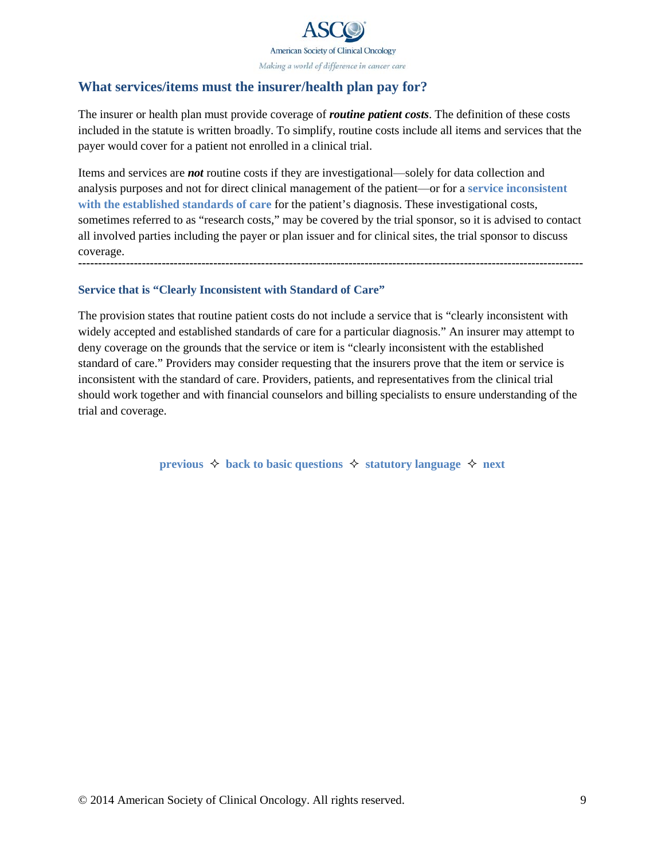

## <span id="page-8-0"></span>**What services/items must the insurer/health plan pay for?**

The insurer or health plan must provide coverage of *routine patient costs*. The definition of these costs included in the statute is written broadly. To simplify, routine costs include all items and services that the payer would cover for a patient not enrolled in a clinical trial.

Items and services are *not* routine costs if they are investigational—solely for data collection and analysis purposes and not for direct clinical management of the patient—or for a **service inconsistent with the established standards of care** for the patient's diagnosis. These investigational costs, sometimes referred to as "research costs," may be covered by the trial sponsor, so it is advised to contact all involved parties including the payer or plan issuer and for clinical sites, the trial sponsor to discuss coverage. **-------------------------------------------------------------------------------------------------------------------------------**

### **Service that is "Clearly Inconsistent with Standard of Care"**

The provision states that routine patient costs do not include a service that is "clearly inconsistent with widely accepted and established standards of care for a particular diagnosis." An insurer may attempt to deny coverage on the grounds that the service or item is "clearly inconsistent with the established standard of care." Providers may consider requesting that the insurers prove that the item or service is inconsistent with the standard of care. Providers, patients, and representatives from the clinical trial should work together and with financial counselors and billing specialists to ensure understanding of the trial and coverage.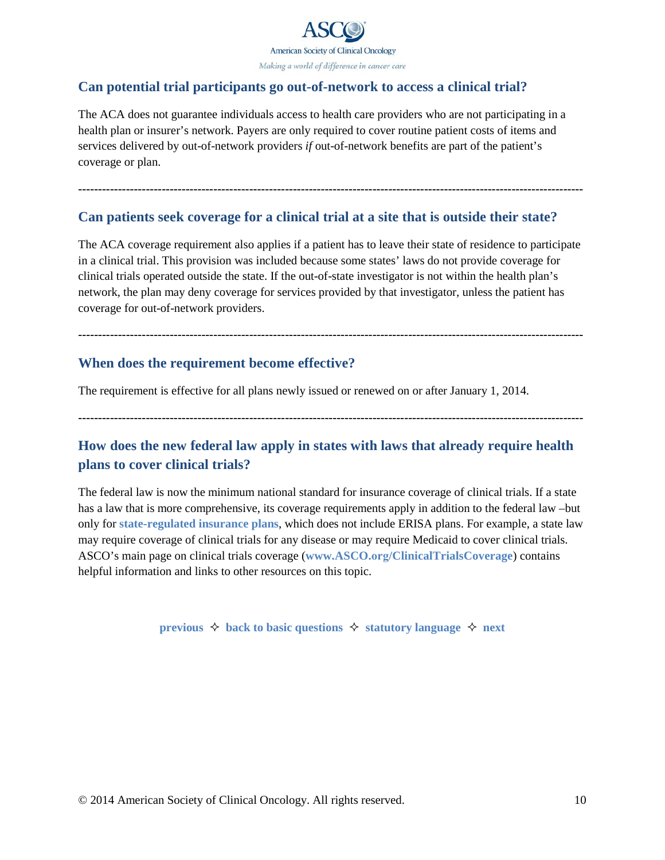

## <span id="page-9-1"></span><span id="page-9-0"></span>**Can potential trial participants go out-of-network to access a clinical trial?**

The ACA does not guarantee individuals access to health care providers who are not participating in a health plan or insurer's network. Payers are only required to cover routine patient costs of items and services delivered by out-of-network providers *if* out-of-network benefits are part of the patient's coverage or plan.

**-------------------------------------------------------------------------------------------------------------------------------**

### **Can patients seek coverage for a clinical trial at a site that is outside their state?**

The ACA coverage requirement also applies if a patient has to leave their state of residence to participate in a clinical trial. This provision was included because some states' laws do not provide coverage for clinical trials operated outside the state. If the out-of-state investigator is not within the health plan's network, the plan may deny coverage for services provided by that investigator, unless the patient has coverage for out-of-network providers.

**-------------------------------------------------------------------------------------------------------------------------------**

## **When does the requirement become effective?**

The requirement is effective for all plans newly issued or renewed on or after January 1, 2014.

**-------------------------------------------------------------------------------------------------------------------------------**

# **How does the new federal law apply in states with laws that already require health plans to cover clinical trials?**

The federal law is now the minimum national standard for insurance coverage of clinical trials. If a state has a law that is more comprehensive, its coverage requirements apply in addition to the federal law –but only for **state-regulated [insurance plans](#page-5-1)**, which does not include ERISA plans. For example, a state law may require coverage of clinical trials for any disease or may require Medicaid to cover clinical trials. ASCO's main page on clinical trials coverage (**www.ASCO.org[/ClinicalTrialsCoverage](www.ASCO.org/ClinicalTrialsCoverage)**) contains helpful information and links to other resources on this topic.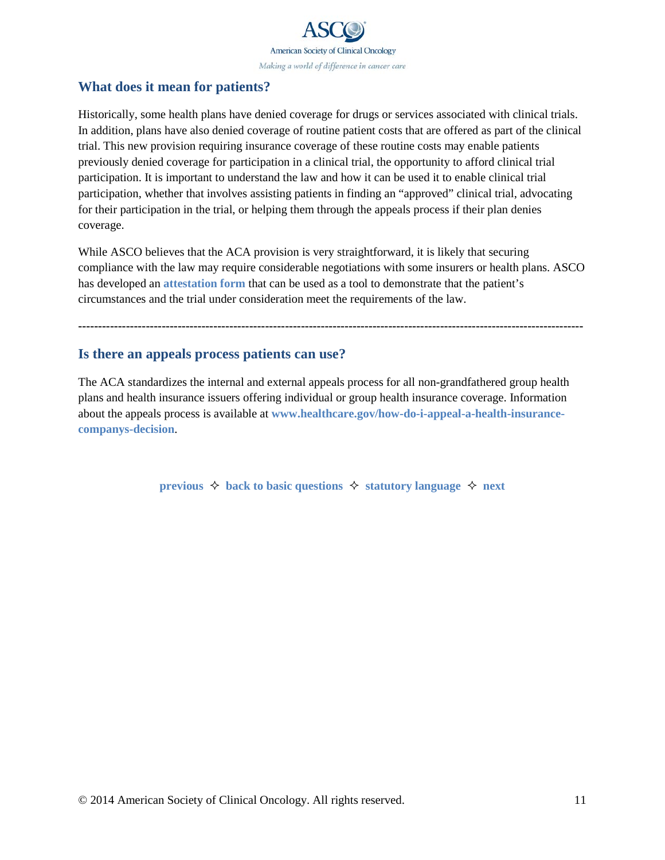

## <span id="page-10-1"></span><span id="page-10-0"></span>**What does it mean for patients?**

Historically, some health plans have denied coverage for drugs or services associated with clinical trials. In addition, plans have also denied coverage of routine patient costs that are offered as part of the clinical trial. This new provision requiring insurance coverage of these routine costs may enable patients previously denied coverage for participation in a clinical trial, the opportunity to afford clinical trial participation. It is important to understand the law and how it can be used it to enable clinical trial participation, whether that involves assisting patients in finding an "approved" clinical trial, advocating for their participation in the trial, or helping them through the appeals process if their plan denies coverage.

While ASCO believes that the ACA provision is very straightforward, it is likely that securing compliance with the law may require considerable negotiations with some insurers or health plans. ASCO has developed an **[attestation form](http://www.asco.org/sites/www.asco.org/files/asco_clinical_trials_attestation_form.pdf)** that can be used as a tool to demonstrate that the patient's circumstances and the trial under consideration meet the requirements of the law.

**-------------------------------------------------------------------------------------------------------------------------------**

### **Is there an appeals process patients can use?**

The ACA standardizes the internal and external appeals process for all non-grandfathered group health plans and health insurance issuers offering individual or group health insurance coverage. Information about the appeals process is available at **[www.healthcare.gov/how-do-i-appeal-a-health-insurance](http://www.healthcare.gov/how-do-i-appeal-a-health-insurance-companys-decision)[companys-decision](http://www.healthcare.gov/how-do-i-appeal-a-health-insurance-companys-decision)**.